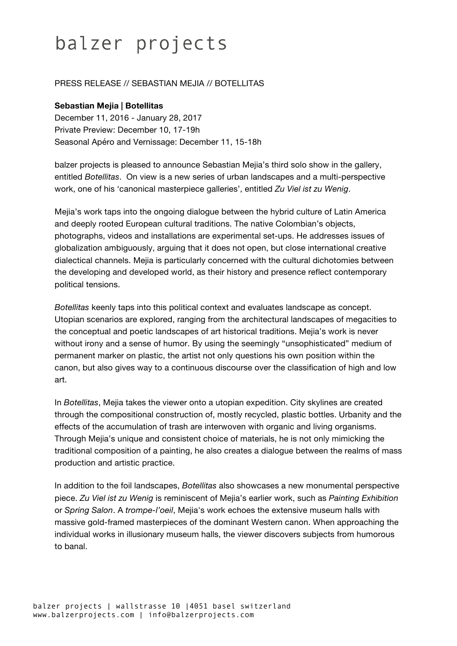## balzer projects

## PRESS RELEASE // SEBASTIAN MEJIA // BOTELLITAS

## **Sebastian Mejia | Botellitas**

December 11, 2016 - January 28, 2017 Private Preview: December 10, 17-19h Seasonal Apéro and Vernissage: December 11, 15-18h

balzer projects is pleased to announce Sebastian Mejia's third solo show in the gallery, entitled *Botellitas*. On view is a new series of urban landscapes and a multi-perspective work, one of his 'canonical masterpiece galleries', entitled *Zu Viel ist zu Wenig*.

Mejia's work taps into the ongoing dialogue between the hybrid culture of Latin America and deeply rooted European cultural traditions. The native Colombian's objects, photographs, videos and installations are experimental set-ups. He addresses issues of globalization ambiguously, arguing that it does not open, but close international creative dialectical channels. Mejia is particularly concerned with the cultural dichotomies between the developing and developed world, as their history and presence reflect contemporary political tensions.

*Botellitas* keenly taps into this political context and evaluates landscape as concept. Utopian scenarios are explored, ranging from the architectural landscapes of megacities to the conceptual and poetic landscapes of art historical traditions. Mejia's work is never without irony and a sense of humor. By using the seemingly "unsophisticated" medium of permanent marker on plastic, the artist not only questions his own position within the canon, but also gives way to a continuous discourse over the classification of high and low art.

In *Botellitas*, Mejia takes the viewer onto a utopian expedition. City skylines are created through the compositional construction of, mostly recycled, plastic bottles. Urbanity and the effects of the accumulation of trash are interwoven with organic and living organisms. Through Mejia's unique and consistent choice of materials, he is not only mimicking the traditional composition of a painting, he also creates a dialogue between the realms of mass production and artistic practice.

In addition to the foil landscapes, *Botellitas* also showcases a new monumental perspective piece. *Zu Viel ist zu Wenig* is reminiscent of Mejia's earlier work, such as *Painting Exhibition* or *Spring Salon*. A *trompe-l'oeil*, Mejia's work echoes the extensive museum halls with massive gold-framed masterpieces of the dominant Western canon. When approaching the individual works in illusionary museum halls, the viewer discovers subjects from humorous to banal.